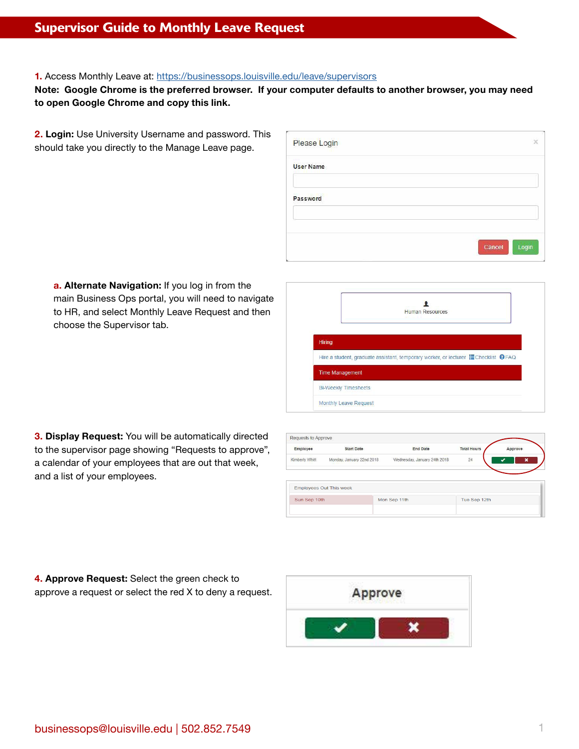# Supervisor Guide to Monthly Leave Request

### **1.** Access Monthly Leave at: <https://businessops.louisville.edu/leave/supervisors>

## **Note: Google Chrome is the preferred browser. If your computer defaults to another browser, you may need to open Google Chrome and copy this link.**

**2. Login:** Use University Username and password. This should take you directly to the Manage Leave page.

| Please Login     |                 |
|------------------|-----------------|
| <b>User Name</b> |                 |
| Password         |                 |
|                  |                 |
|                  | Login<br>Cancel |

**a. Alternate Navigation:** If you log in from the main Business Ops portal, you will need to navigate to HR, and select Monthly Leave Request and then choose the Supervisor tab.

|                             | <b>Human Resources</b>                                                                            |  |
|-----------------------------|---------------------------------------------------------------------------------------------------|--|
| Hiring                      |                                                                                                   |  |
|                             | Hire a student, graduate assistant, temporary worker, or lecturer <b>E</b> Checklist <b>O</b> FAQ |  |
| <b>Time Management</b>      |                                                                                                   |  |
| <b>Bi-Weekly Timesheets</b> |                                                                                                   |  |
|                             |                                                                                                   |  |

| <b>3. Display Request:</b> You will be automatically directed |
|---------------------------------------------------------------|
| to the supervisor page showing "Requests to approve",         |
| a calendar of your employees that are out that week,          |
| and a list of your employees.                                 |

| Employee       | <b>Start Date</b>              | <b>End Date</b>              | <b>Total Hours</b> | Approve |
|----------------|--------------------------------|------------------------------|--------------------|---------|
| Kimberly Whitt | Monday, January 22nd 2018      | Wednesday, January 24th 2018 | 24                 |         |
|                |                                |                              |                    |         |
|                | <b>Employees Out This week</b> |                              |                    |         |

**4. Approve Request:** Select the green check to approve a request or select the red X to deny a request.